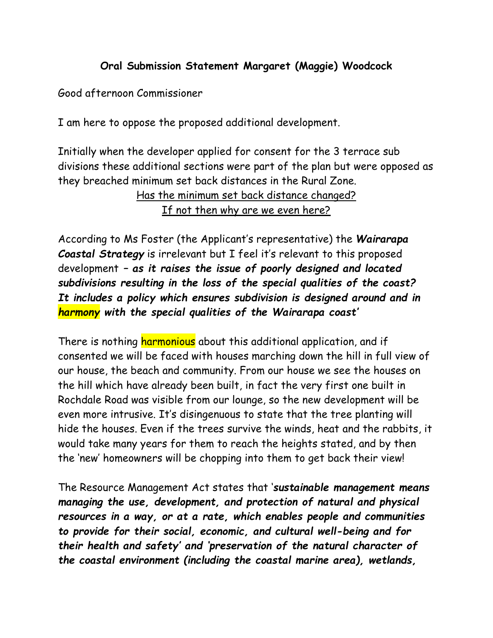## **Oral Submission Statement Margaret (Maggie) Woodcock**

Good afternoon Commissioner

I am here to oppose the proposed additional development.

Initially when the developer applied for consent for the 3 terrace sub divisions these additional sections were part of the plan but were opposed as they breached minimum set back distances in the Rural Zone.

> Has the minimum set back distance changed? If not then why are we even here?

According to Ms Foster (the Applicant's representative) the *Wairarapa Coastal Strategy* is irrelevant but I feel it's relevant to this proposed development *– as it raises the issue of poorly designed and located subdivisions resulting in the loss of the special qualities of the coast? It includes a policy which ensures subdivision is designed around and in harmony with the special qualities of the Wairarapa coast'* 

There is nothing harmonious about this additional application, and if consented we will be faced with houses marching down the hill in full view of our house, the beach and community. From our house we see the houses on the hill which have already been built, in fact the very first one built in Rochdale Road was visible from our lounge, so the new development will be even more intrusive. It's disingenuous to state that the tree planting will hide the houses. Even if the trees survive the winds, heat and the rabbits, it would take many years for them to reach the heights stated, and by then the 'new' homeowners will be chopping into them to get back their view!

The Resource Management Act states that '*sustainable management means managing the use, development, and protection of natural and physical resources in a way, or at a rate, which enables people and communities to provide for their social, economic, and cultural well-being and for their health and safety' and 'preservation of the natural character of the coastal environment (including the coastal marine area), wetlands,*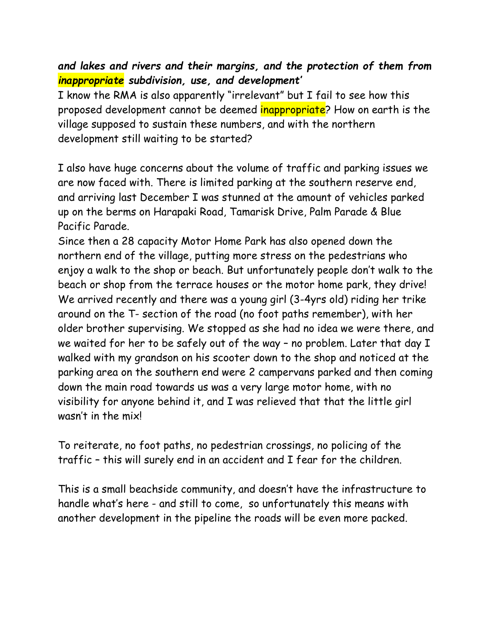## *and lakes and rivers and their margins, and the protection of them from inappropriate subdivision, use, and development'*

I know the RMA is also apparently "irrelevant" but I fail to see how this proposed development cannot be deemed inappropriate? How on earth is the village supposed to sustain these numbers, and with the northern development still waiting to be started?

I also have huge concerns about the volume of traffic and parking issues we are now faced with. There is limited parking at the southern reserve end, and arriving last December I was stunned at the amount of vehicles parked up on the berms on Harapaki Road, Tamarisk Drive, Palm Parade & Blue Pacific Parade.

Since then a 28 capacity Motor Home Park has also opened down the northern end of the village, putting more stress on the pedestrians who enjoy a walk to the shop or beach. But unfortunately people don't walk to the beach or shop from the terrace houses or the motor home park, they drive! We arrived recently and there was a young girl (3-4yrs old) riding her trike around on the T- section of the road (no foot paths remember), with her older brother supervising. We stopped as she had no idea we were there, and we waited for her to be safely out of the way – no problem. Later that day I walked with my grandson on his scooter down to the shop and noticed at the parking area on the southern end were 2 campervans parked and then coming down the main road towards us was a very large motor home, with no visibility for anyone behind it, and I was relieved that that the little girl wasn't in the mix!

To reiterate, no foot paths, no pedestrian crossings, no policing of the traffic – this will surely end in an accident and I fear for the children.

This is a small beachside community, and doesn't have the infrastructure to handle what's here - and still to come, so unfortunately this means with another development in the pipeline the roads will be even more packed.